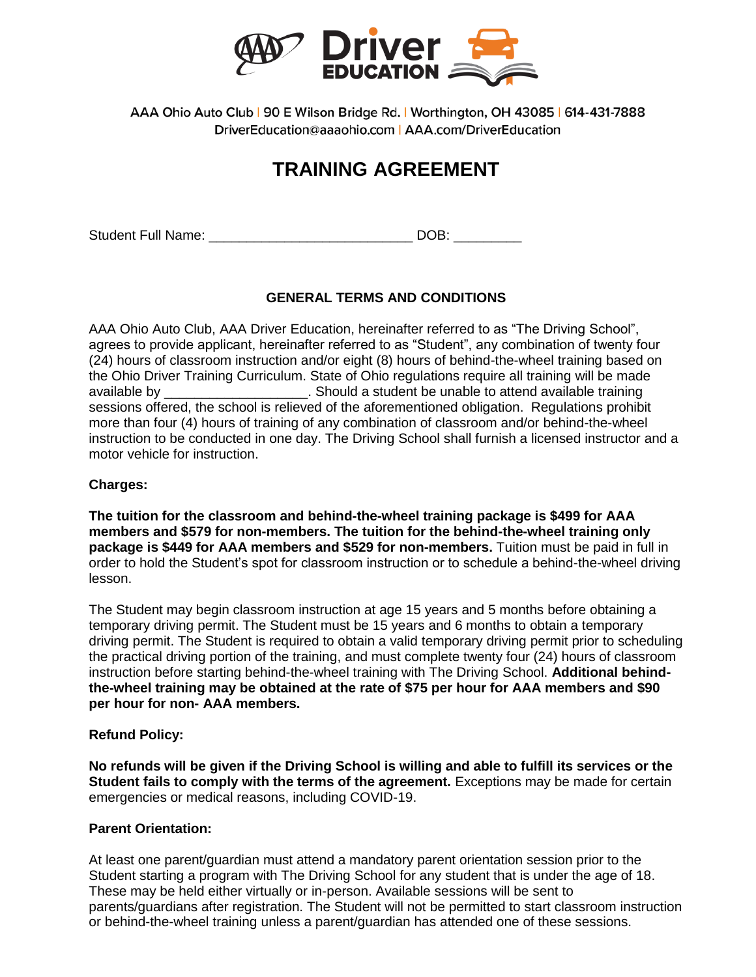

AAA Ohio Auto Club | 90 E Wilson Bridge Rd. | Worthington, OH 43085 | 614-431-7888 DriverEducation@aaaohio.com | AAA.com/DriverEducation

# **TRAINING AGREEMENT**

Student Full Name: \_\_\_\_\_\_\_\_\_\_\_\_\_\_\_\_\_\_\_\_\_\_\_\_\_\_\_ DOB: \_\_\_\_\_\_\_\_\_

# **GENERAL TERMS AND CONDITIONS**

AAA Ohio Auto Club, AAA Driver Education, hereinafter referred to as "The Driving School", agrees to provide applicant, hereinafter referred to as "Student", any combination of twenty four (24) hours of classroom instruction and/or eight (8) hours of behind-the-wheel training based on the Ohio Driver Training Curriculum. State of Ohio regulations require all training will be made available by \_\_\_\_\_\_\_\_\_\_\_\_\_\_\_\_\_\_\_. Should a student be unable to attend available training sessions offered, the school is relieved of the aforementioned obligation. Regulations prohibit more than four (4) hours of training of any combination of classroom and/or behind-the-wheel instruction to be conducted in one day. The Driving School shall furnish a licensed instructor and a motor vehicle for instruction.

## **Charges:**

**The tuition for the classroom and behind-the-wheel training package is \$499 for AAA members and \$579 for non-members. The tuition for the behind-the-wheel training only package is \$449 for AAA members and \$529 for non-members.** Tuition must be paid in full in order to hold the Student's spot for classroom instruction or to schedule a behind-the-wheel driving lesson.

The Student may begin classroom instruction at age 15 years and 5 months before obtaining a temporary driving permit. The Student must be 15 years and 6 months to obtain a temporary driving permit. The Student is required to obtain a valid temporary driving permit prior to scheduling the practical driving portion of the training, and must complete twenty four (24) hours of classroom instruction before starting behind-the-wheel training with The Driving School. **Additional behindthe-wheel training may be obtained at the rate of \$75 per hour for AAA members and \$90 per hour for non- AAA members.**

#### **Refund Policy:**

**No refunds will be given if the Driving School is willing and able to fulfill its services or the Student fails to comply with the terms of the agreement.** Exceptions may be made for certain emergencies or medical reasons, including COVID-19.

## **Parent Orientation:**

At least one parent/guardian must attend a mandatory parent orientation session prior to the Student starting a program with The Driving School for any student that is under the age of 18. These may be held either virtually or in-person. Available sessions will be sent to parents/guardians after registration. The Student will not be permitted to start classroom instruction or behind-the-wheel training unless a parent/guardian has attended one of these sessions.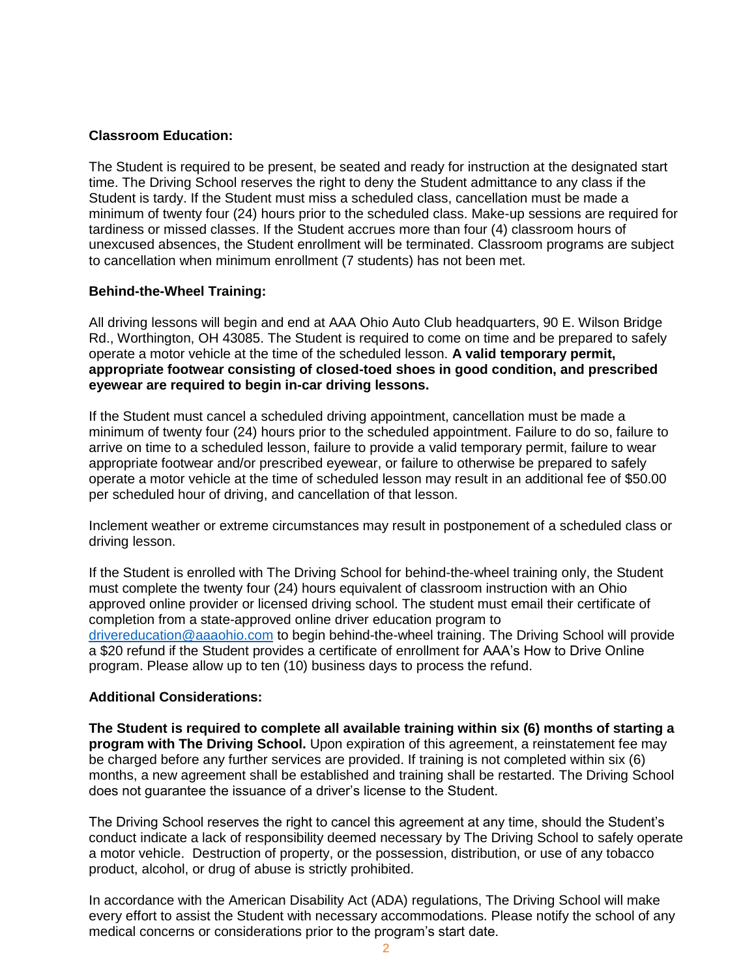#### **Classroom Education:**

The Student is required to be present, be seated and ready for instruction at the designated start time. The Driving School reserves the right to deny the Student admittance to any class if the Student is tardy. If the Student must miss a scheduled class, cancellation must be made a minimum of twenty four (24) hours prior to the scheduled class. Make-up sessions are required for tardiness or missed classes. If the Student accrues more than four (4) classroom hours of unexcused absences, the Student enrollment will be terminated. Classroom programs are subject to cancellation when minimum enrollment (7 students) has not been met.

#### **Behind-the-Wheel Training:**

All driving lessons will begin and end at AAA Ohio Auto Club headquarters, 90 E. Wilson Bridge Rd., Worthington, OH 43085. The Student is required to come on time and be prepared to safely operate a motor vehicle at the time of the scheduled lesson. **A valid temporary permit, appropriate footwear consisting of closed-toed shoes in good condition, and prescribed eyewear are required to begin in-car driving lessons.** 

If the Student must cancel a scheduled driving appointment, cancellation must be made a minimum of twenty four (24) hours prior to the scheduled appointment. Failure to do so, failure to arrive on time to a scheduled lesson, failure to provide a valid temporary permit, failure to wear appropriate footwear and/or prescribed eyewear, or failure to otherwise be prepared to safely operate a motor vehicle at the time of scheduled lesson may result in an additional fee of \$50.00 per scheduled hour of driving, and cancellation of that lesson.

Inclement weather or extreme circumstances may result in postponement of a scheduled class or driving lesson.

If the Student is enrolled with The Driving School for behind-the-wheel training only, the Student must complete the twenty four (24) hours equivalent of classroom instruction with an Ohio approved online provider or licensed driving school. The student must email their certificate of completion from a state-approved online driver education program to [drivereducation@aaaohio.com](mailto:drivereducation@aaaohio.com) to begin behind-the-wheel training. The Driving School will provide a \$20 refund if the Student provides a certificate of enrollment for AAA's How to Drive Online program. Please allow up to ten (10) business days to process the refund.

#### **Additional Considerations:**

**The Student is required to complete all available training within six (6) months of starting a program with The Driving School.** Upon expiration of this agreement, a reinstatement fee may be charged before any further services are provided. If training is not completed within six (6) months, a new agreement shall be established and training shall be restarted. The Driving School does not guarantee the issuance of a driver's license to the Student.

The Driving School reserves the right to cancel this agreement at any time, should the Student's conduct indicate a lack of responsibility deemed necessary by The Driving School to safely operate a motor vehicle. Destruction of property, or the possession, distribution, or use of any tobacco product, alcohol, or drug of abuse is strictly prohibited.

In accordance with the American Disability Act (ADA) regulations, The Driving School will make every effort to assist the Student with necessary accommodations. Please notify the school of any medical concerns or considerations prior to the program's start date.